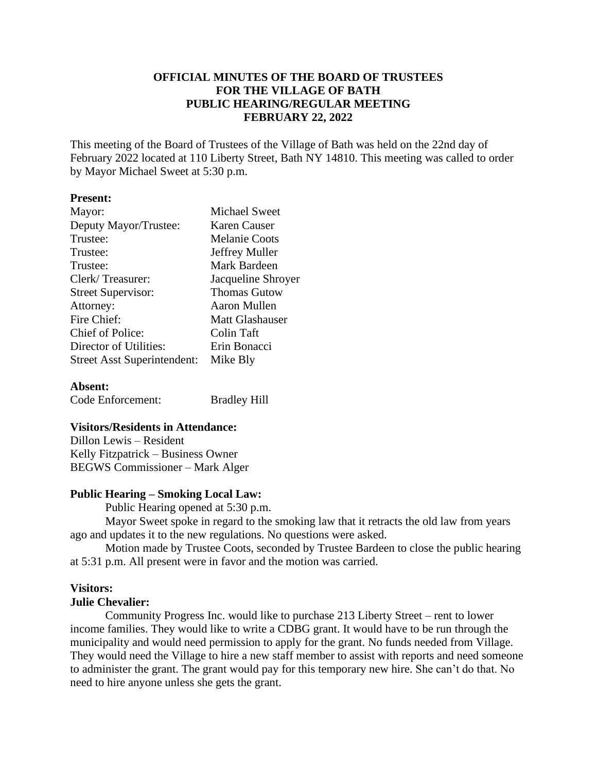## **OFFICIAL MINUTES OF THE BOARD OF TRUSTEES FOR THE VILLAGE OF BATH PUBLIC HEARING/REGULAR MEETING FEBRUARY 22, 2022**

This meeting of the Board of Trustees of the Village of Bath was held on the 22nd day of February 2022 located at 110 Liberty Street, Bath NY 14810. This meeting was called to order by Mayor Michael Sweet at 5:30 p.m.

## **Present:**

| Mayor:                             | <b>Michael Sweet</b> |
|------------------------------------|----------------------|
| Deputy Mayor/Trustee:              | Karen Causer         |
| Trustee:                           | <b>Melanie Coots</b> |
| Trustee:                           | Jeffrey Muller       |
| Trustee:                           | Mark Bardeen         |
| Clerk/Treasurer:                   | Jacqueline Shroyer   |
| <b>Street Supervisor:</b>          | <b>Thomas Gutow</b>  |
| Attorney:                          | Aaron Mullen         |
| Fire Chief:                        | Matt Glashauser      |
| Chief of Police:                   | Colin Taft           |
| Director of Utilities:             | Erin Bonacci         |
| <b>Street Asst Superintendent:</b> | Mike Bly             |
|                                    |                      |

# **Absent:** Code Enforcement: Bradley Hill

## **Visitors/Residents in Attendance:**

Dillon Lewis – Resident Kelly Fitzpatrick – Business Owner BEGWS Commissioner – Mark Alger

## **Public Hearing – Smoking Local Law:**

Public Hearing opened at 5:30 p.m.

Mayor Sweet spoke in regard to the smoking law that it retracts the old law from years ago and updates it to the new regulations. No questions were asked.

Motion made by Trustee Coots, seconded by Trustee Bardeen to close the public hearing at 5:31 p.m. All present were in favor and the motion was carried.

## **Visitors:**

## **Julie Chevalier:**

Community Progress Inc. would like to purchase 213 Liberty Street – rent to lower income families. They would like to write a CDBG grant. It would have to be run through the municipality and would need permission to apply for the grant. No funds needed from Village. They would need the Village to hire a new staff member to assist with reports and need someone to administer the grant. The grant would pay for this temporary new hire. She can't do that. No need to hire anyone unless she gets the grant.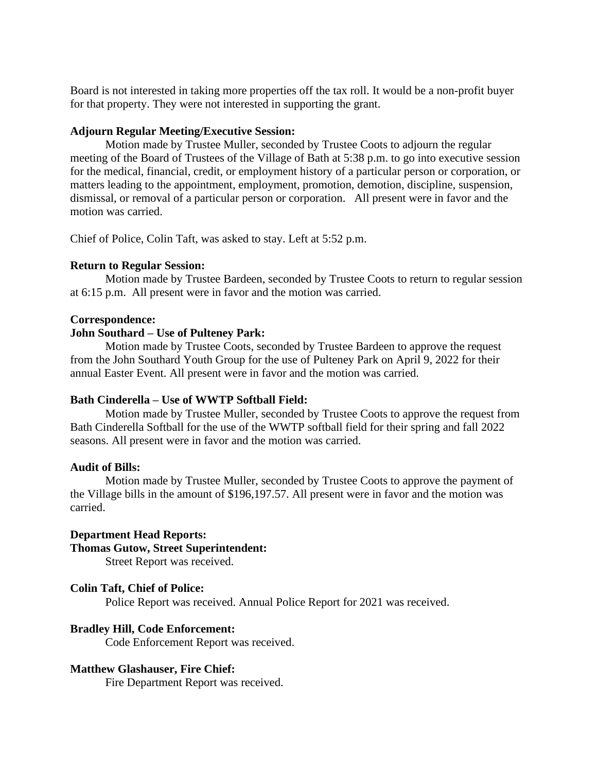Board is not interested in taking more properties off the tax roll. It would be a non-profit buyer for that property. They were not interested in supporting the grant.

## **Adjourn Regular Meeting/Executive Session:**

Motion made by Trustee Muller, seconded by Trustee Coots to adjourn the regular meeting of the Board of Trustees of the Village of Bath at 5:38 p.m. to go into executive session for the medical, financial, credit, or employment history of a particular person or corporation, or matters leading to the appointment, employment, promotion, demotion, discipline, suspension, dismissal, or removal of a particular person or corporation. All present were in favor and the motion was carried.

Chief of Police, Colin Taft, was asked to stay. Left at 5:52 p.m.

## **Return to Regular Session:**

Motion made by Trustee Bardeen, seconded by Trustee Coots to return to regular session at 6:15 p.m. All present were in favor and the motion was carried.

## **Correspondence:**

## **John Southard – Use of Pulteney Park:**

Motion made by Trustee Coots, seconded by Trustee Bardeen to approve the request from the John Southard Youth Group for the use of Pulteney Park on April 9, 2022 for their annual Easter Event. All present were in favor and the motion was carried.

## **Bath Cinderella – Use of WWTP Softball Field:**

Motion made by Trustee Muller, seconded by Trustee Coots to approve the request from Bath Cinderella Softball for the use of the WWTP softball field for their spring and fall 2022 seasons. All present were in favor and the motion was carried.

## **Audit of Bills:**

Motion made by Trustee Muller, seconded by Trustee Coots to approve the payment of the Village bills in the amount of \$196,197.57. All present were in favor and the motion was carried.

## **Department Head Reports:**

## **Thomas Gutow, Street Superintendent:**

Street Report was received.

## **Colin Taft, Chief of Police:**

Police Report was received. Annual Police Report for 2021 was received.

## **Bradley Hill, Code Enforcement:**

Code Enforcement Report was received.

## **Matthew Glashauser, Fire Chief:**

Fire Department Report was received.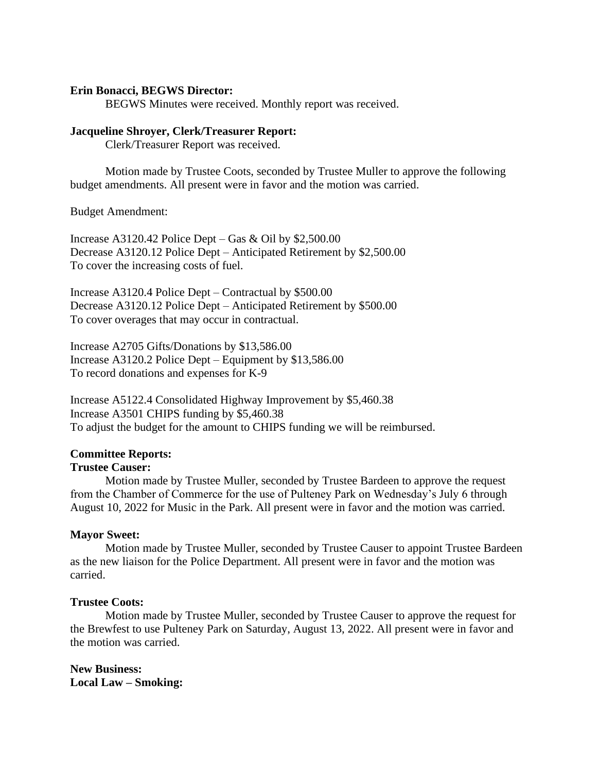## **Erin Bonacci, BEGWS Director:**

BEGWS Minutes were received. Monthly report was received.

#### **Jacqueline Shroyer, Clerk/Treasurer Report:**

Clerk/Treasurer Report was received.

Motion made by Trustee Coots, seconded by Trustee Muller to approve the following budget amendments. All present were in favor and the motion was carried.

Budget Amendment:

Increase A3120.42 Police Dept – Gas  $&$  Oil by \$2,500.00 Decrease A3120.12 Police Dept – Anticipated Retirement by \$2,500.00 To cover the increasing costs of fuel.

Increase A3120.4 Police Dept – Contractual by \$500.00 Decrease A3120.12 Police Dept – Anticipated Retirement by \$500.00 To cover overages that may occur in contractual.

Increase A2705 Gifts/Donations by \$13,586.00 Increase A3120.2 Police Dept – Equipment by \$13,586.00 To record donations and expenses for K-9

Increase A5122.4 Consolidated Highway Improvement by \$5,460.38 Increase A3501 CHIPS funding by \$5,460.38 To adjust the budget for the amount to CHIPS funding we will be reimbursed.

#### **Committee Reports:**

#### **Trustee Causer:**

Motion made by Trustee Muller, seconded by Trustee Bardeen to approve the request from the Chamber of Commerce for the use of Pulteney Park on Wednesday's July 6 through August 10, 2022 for Music in the Park. All present were in favor and the motion was carried.

#### **Mayor Sweet:**

Motion made by Trustee Muller, seconded by Trustee Causer to appoint Trustee Bardeen as the new liaison for the Police Department. All present were in favor and the motion was carried.

## **Trustee Coots:**

Motion made by Trustee Muller, seconded by Trustee Causer to approve the request for the Brewfest to use Pulteney Park on Saturday, August 13, 2022. All present were in favor and the motion was carried.

**New Business: Local Law – Smoking:**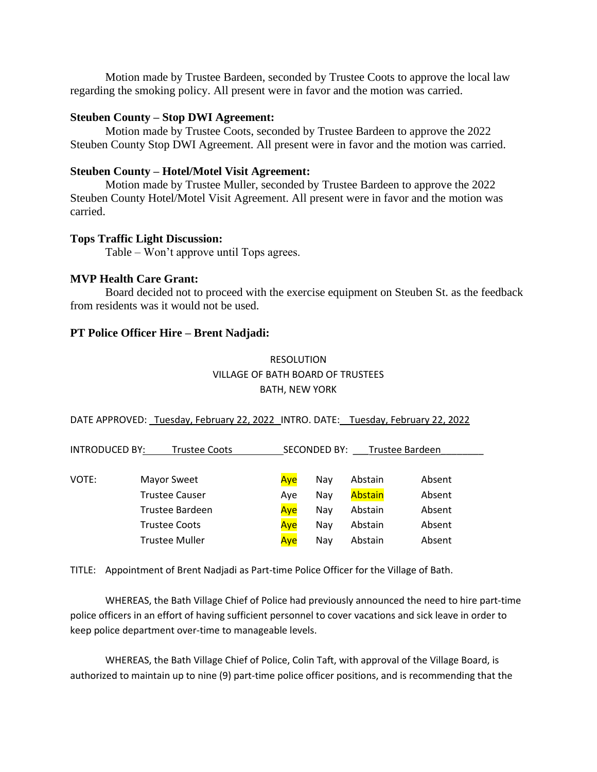Motion made by Trustee Bardeen, seconded by Trustee Coots to approve the local law regarding the smoking policy. All present were in favor and the motion was carried.

## **Steuben County – Stop DWI Agreement:**

Motion made by Trustee Coots, seconded by Trustee Bardeen to approve the 2022 Steuben County Stop DWI Agreement. All present were in favor and the motion was carried.

## **Steuben County – Hotel/Motel Visit Agreement:**

Motion made by Trustee Muller, seconded by Trustee Bardeen to approve the 2022 Steuben County Hotel/Motel Visit Agreement. All present were in favor and the motion was carried.

#### **Tops Traffic Light Discussion:**

Table – Won't approve until Tops agrees.

## **MVP Health Care Grant:**

Board decided not to proceed with the exercise equipment on Steuben St. as the feedback from residents was it would not be used.

#### **PT Police Officer Hire – Brent Nadjadi:**

# RESOLUTION VILLAGE OF BATH BOARD OF TRUSTEES BATH, NEW YORK

DATE APPROVED: Tuesday, February 22, 2022 INTRO. DATE: Tuesday, February 22, 2022

| <b>INTRODUCED BY:</b><br>Trustee Coots |                       | <b>SECONDED BY:</b><br>Trustee Bardeen |     |                |        |
|----------------------------------------|-----------------------|----------------------------------------|-----|----------------|--------|
|                                        |                       |                                        |     |                |        |
| VOTE:                                  | Mayor Sweet           | Aye                                    | Nav | Abstain        | Absent |
|                                        | <b>Trustee Causer</b> | Ave                                    | Nay | <b>Abstain</b> | Absent |
|                                        | Trustee Bardeen       | Ave                                    | Nav | Abstain        | Absent |
|                                        | <b>Trustee Coots</b>  | Aye                                    | Nav | Abstain        | Absent |
|                                        | <b>Trustee Muller</b> | Ave                                    | Nav | Abstain        | Absent |

TITLE: Appointment of Brent Nadjadi as Part-time Police Officer for the Village of Bath.

WHEREAS, the Bath Village Chief of Police had previously announced the need to hire part-time police officers in an effort of having sufficient personnel to cover vacations and sick leave in order to keep police department over-time to manageable levels.

WHEREAS, the Bath Village Chief of Police, Colin Taft, with approval of the Village Board, is authorized to maintain up to nine (9) part-time police officer positions, and is recommending that the